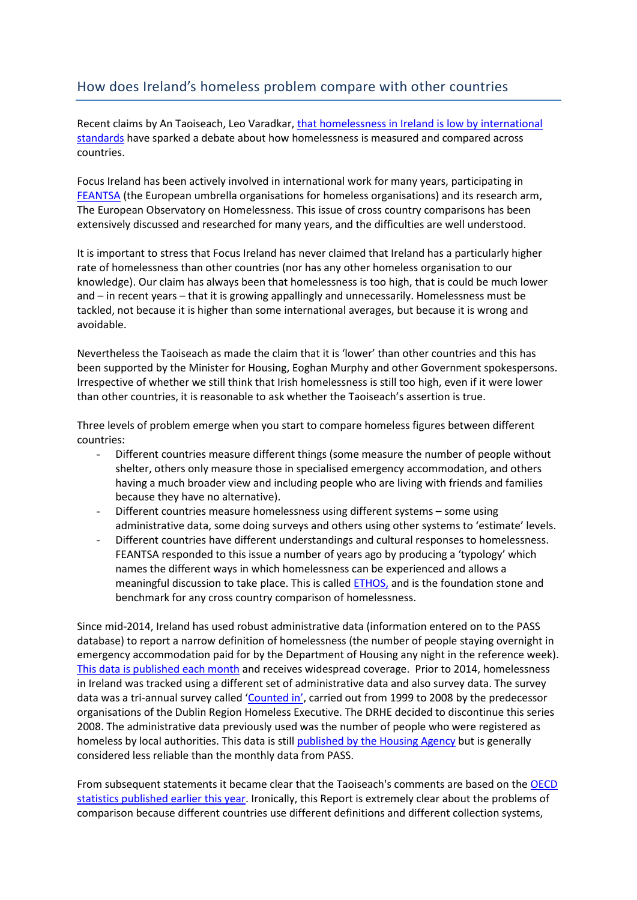## How does Ireland's homeless problem compare with other countries

Recent claims by An Taoiseach, Leo Varadkar[, that homelessness in Ireland is low by international](https://www.rte.ie/news/2017/1111/919200-fine-gael-national-conference/)  [standards](https://www.rte.ie/news/2017/1111/919200-fine-gael-national-conference/) have sparked a debate about how homelessness is measured and compared across countries.

Focus Ireland has been actively involved in international work for many years, participating in [FEANTSA](http://www.feantsa.org/) (the European umbrella organisations for homeless organisations) and its research arm, The European Observatory on Homelessness. This issue of cross country comparisons has been extensively discussed and researched for many years, and the difficulties are well understood.

It is important to stress that Focus Ireland has never claimed that Ireland has a particularly higher rate of homelessness than other countries (nor has any other homeless organisation to our knowledge). Our claim has always been that homelessness is too high, that is could be much lower and – in recent years – that it is growing appallingly and unnecessarily. Homelessness must be tackled, not because it is higher than some international averages, but because it is wrong and avoidable.

Nevertheless the Taoiseach as made the claim that it is 'lower' than other countries and this has been supported by the Minister for Housing, Eoghan Murphy and other Government spokespersons. Irrespective of whether we still think that Irish homelessness is still too high, even if it were lower than other countries, it is reasonable to ask whether the Taoiseach's assertion is true.

Three levels of problem emerge when you start to compare homeless figures between different countries:

- Different countries measure different things (some measure the number of people without shelter, others only measure those in specialised emergency accommodation, and others having a much broader view and including people who are living with friends and families because they have no alternative).
- Different countries measure homelessness using different systems some using administrative data, some doing surveys and others using other systems to 'estimate' levels.
- Different countries have different understandings and cultural responses to homelessness. FEANTSA responded to this issue a number of years ago by producing a 'typology' which names the different ways in which homelessness can be experienced and allows a meaningful discussion to take place. This is called **ETHOS**, and is the foundation stone and benchmark for any cross country comparison of homelessness.

Since mid-2014, Ireland has used robust administrative data (information entered on to the PASS database) to report a narrow definition of homelessness (the number of people staying overnight in emergency accommodation paid for by the Department of Housing any night in the reference week). [This data is published each month](http://www.housing.gov.ie/housing/homelessness/other/homelessness-data) and receives widespread coverage. Prior to 2014, homelessness in Ireland was tracked using a different set of administrative data and also survey data. The survey data was a tri-annual survey called '[Counted in](http://www.homelessdublin.ie/sites/default/files/publications/FINAL_Counted_In_2008.pdf)', carried out from 1999 to 2008 by the predecessor organisations of the Dublin Region Homeless Executive. The DRHE decided to discontinue this series 2008. The administrative data previously used was the number of people who were registered as homeless by local authorities. This data is stil[l published by the Housing Agency](https://www.housingagency.ie/Housing/media/Media/Publications/Summary-of-Social-Housing-Assessment-Needs-2016.pdf) but is generally considered less reliable than the monthly data from PASS.

From subsequent statements it became clear that the Taoiseach's comments are based on th[e OECD](http://www.oecd.org/els/family/HC3-1-Homeless-population.pdf)  [statistics published earlier this year.](http://www.oecd.org/els/family/HC3-1-Homeless-population.pdf) Ironically, this Report is extremely clear about the problems of comparison because different countries use different definitions and different collection systems,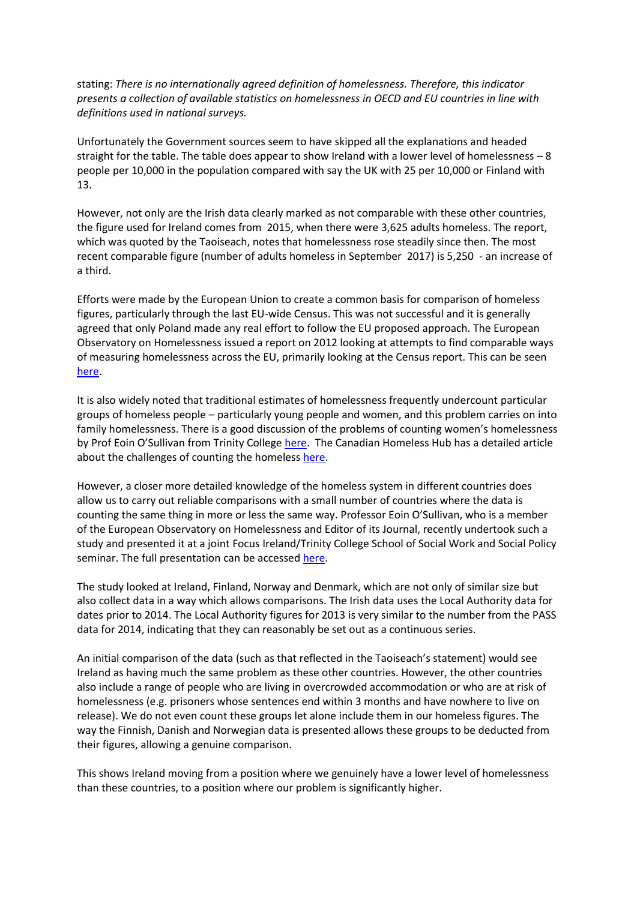stating: *There is no internationally agreed definition of homelessness. Therefore, this indicator presents a collection of available statistics on homelessness in OECD and EU countries in line with definitions used in national surveys.*

Unfortunately the Government sources seem to have skipped all the explanations and headed straight for the table. The table does appear to show Ireland with a lower level of homelessness – 8 people per 10,000 in the population compared with say the UK with 25 per 10,000 or Finland with 13.

However, not only are the Irish data clearly marked as not comparable with these other countries, the figure used for Ireland comes from 2015, when there were 3,625 adults homeless. The report, which was quoted by the Taoiseach, notes that homelessness rose steadily since then. The most recent comparable figure (number of adults homeless in September 2017) is 5,250 - an increase of a third.

Efforts were made by the European Union to create a common basis for comparison of homeless figures, particularly through the last EU-wide Census. This was not successful and it is generally agreed that only Poland made any real effort to follow the EU proposed approach. The European Observatory on Homelessness issued a report on 2012 looking at attempts to find comparable ways of measuring homelessness across the EU, primarily looking at the Census report. This can be seen [here.](http://www.feantsaresearch.org/en/comparative-studies/2013/01/08/eoh-comparative-studies-on-homelessness-number-2-2012?bcParent=763)

It is also widely noted that traditional estimates of homelessness frequently undercount particular groups of homeless people – particularly young people and women, and this problem carries on into family homelessness. There is a good discussion of the problems of counting women's homelessness by Prof Eoin O'Sullivan from Trinity College [here.](https://link.springer.com/chapter/10.1057/978-1-137-54516-9_2) The Canadian Homeless Hub has a detailed article about the challenges of counting the homeless [here.](http://homelesshub.ca/resource/83-towards-strategy-counting-homeless)

However, a closer more detailed knowledge of the homeless system in different countries does allow us to carry out reliable comparisons with a small number of countries where the data is counting the same thing in more or less the same way. Professor Eoin O'Sullivan, who is a member of the European Observatory on Homelessness and Editor of its Journal, recently undertook such a study and presented it at a joint Focus Ireland/Trinity College School of Social Work and Social Policy seminar. The full presentation can be accessed [here.](https://www.focusireland.ie/resource-hub/advocacy-events-lunchtime-talks/)

The study looked at Ireland, Finland, Norway and Denmark, which are not only of similar size but also collect data in a way which allows comparisons. The Irish data uses the Local Authority data for dates prior to 2014. The Local Authority figures for 2013 is very similar to the number from the PASS data for 2014, indicating that they can reasonably be set out as a continuous series.

An initial comparison of the data (such as that reflected in the Taoiseach's statement) would see Ireland as having much the same problem as these other countries. However, the other countries also include a range of people who are living in overcrowded accommodation or who are at risk of homelessness (e.g. prisoners whose sentences end within 3 months and have nowhere to live on release). We do not even count these groups let alone include them in our homeless figures. The way the Finnish, Danish and Norwegian data is presented allows these groups to be deducted from their figures, allowing a genuine comparison.

This shows Ireland moving from a position where we genuinely have a lower level of homelessness than these countries, to a position where our problem is significantly higher.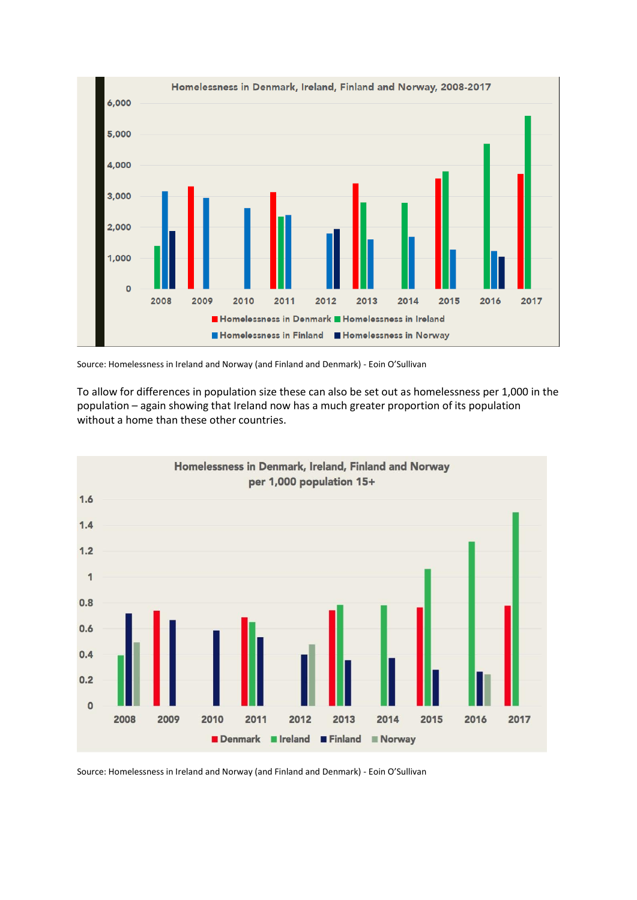

Source: Homelessness in Ireland and Norway (and Finland and Denmark) - Eoin O'Sullivan

To allow for differences in population size these can also be set out as homelessness per 1,000 in the population – again showing that Ireland now has a much greater proportion of its population without a home than these other countries.



Source: Homelessness in Ireland and Norway (and Finland and Denmark) - Eoin O'Sullivan